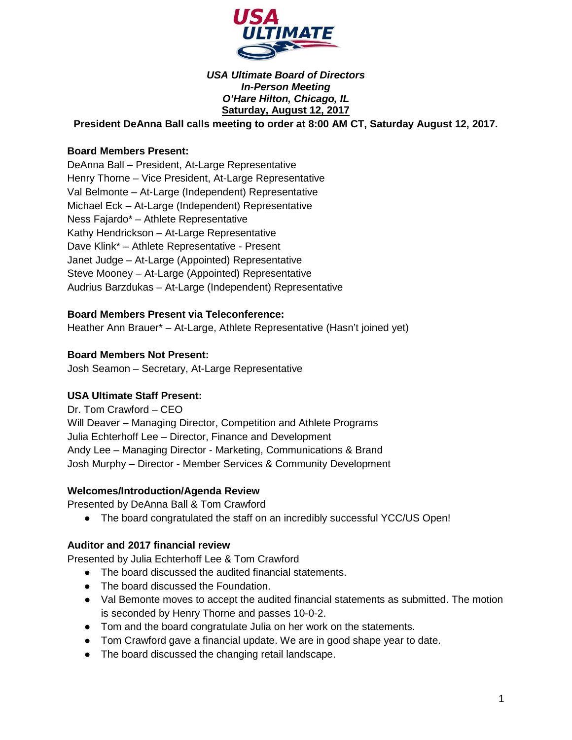

### *USA Ultimate Board of Directors In-Person Meeting O'Hare Hilton, Chicago, IL* **Saturday, August 12, 2017**

**President DeAnna Ball calls meeting to order at 8:00 AM CT, Saturday August 12, 2017.**

### **Board Members Present:**

DeAnna Ball – President, At-Large Representative Henry Thorne – Vice President, At-Large Representative Val Belmonte – At-Large (Independent) Representative Michael Eck – At-Large (Independent) Representative Ness Fajardo\* – Athlete Representative Kathy Hendrickson – At-Large Representative Dave Klink\* – Athlete Representative - Present Janet Judge – At-Large (Appointed) Representative Steve Mooney – At-Large (Appointed) Representative Audrius Barzdukas – At-Large (Independent) Representative

### **Board Members Present via Teleconference:**

Heather Ann Brauer\* – At-Large, Athlete Representative (Hasn't joined yet)

#### **Board Members Not Present:**

Josh Seamon – Secretary, At-Large Representative

#### **USA Ultimate Staff Present:**

Dr. Tom Crawford – CEO Will Deaver – Managing Director, Competition and Athlete Programs Julia Echterhoff Lee – Director, Finance and Development Andy Lee – Managing Director - Marketing, Communications & Brand Josh Murphy – Director - Member Services & Community Development

#### **Welcomes/Introduction/Agenda Review**

Presented by DeAnna Ball & Tom Crawford

• The board congratulated the staff on an incredibly successful YCC/US Open!

#### **Auditor and 2017 financial review**

Presented by Julia Echterhoff Lee & Tom Crawford

- The board discussed the audited financial statements.
- The board discussed the Foundation.
- Val Bemonte moves to accept the audited financial statements as submitted. The motion is seconded by Henry Thorne and passes 10-0-2.
- Tom and the board congratulate Julia on her work on the statements.
- Tom Crawford gave a financial update. We are in good shape year to date.
- The board discussed the changing retail landscape.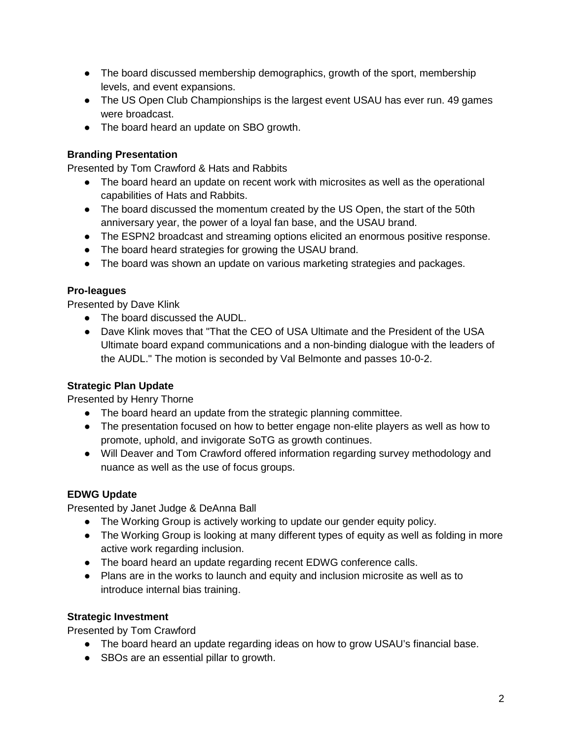- The board discussed membership demographics, growth of the sport, membership levels, and event expansions.
- The US Open Club Championships is the largest event USAU has ever run. 49 games were broadcast.
- The board heard an update on SBO growth.

## **Branding Presentation**

Presented by Tom Crawford & Hats and Rabbits

- The board heard an update on recent work with microsites as well as the operational capabilities of Hats and Rabbits.
- The board discussed the momentum created by the US Open, the start of the 50th anniversary year, the power of a loyal fan base, and the USAU brand.
- The ESPN2 broadcast and streaming options elicited an enormous positive response.
- The board heard strategies for growing the USAU brand.
- The board was shown an update on various marketing strategies and packages.

## **Pro-leagues**

Presented by Dave Klink

- The board discussed the AUDL.
- Dave Klink moves that "That the CEO of USA Ultimate and the President of the USA Ultimate board expand communications and a non-binding dialogue with the leaders of the AUDL." The motion is seconded by Val Belmonte and passes 10-0-2.

# **Strategic Plan Update**

Presented by Henry Thorne

- The board heard an update from the strategic planning committee.
- The presentation focused on how to better engage non-elite players as well as how to promote, uphold, and invigorate SoTG as growth continues.
- Will Deaver and Tom Crawford offered information regarding survey methodology and nuance as well as the use of focus groups.

## **EDWG Update**

Presented by Janet Judge & DeAnna Ball

- The Working Group is actively working to update our gender equity policy.
- The Working Group is looking at many different types of equity as well as folding in more active work regarding inclusion.
- The board heard an update regarding recent EDWG conference calls.
- Plans are in the works to launch and equity and inclusion microsite as well as to introduce internal bias training.

## **Strategic Investment**

Presented by Tom Crawford

- The board heard an update regarding ideas on how to grow USAU's financial base.
- SBOs are an essential pillar to growth.